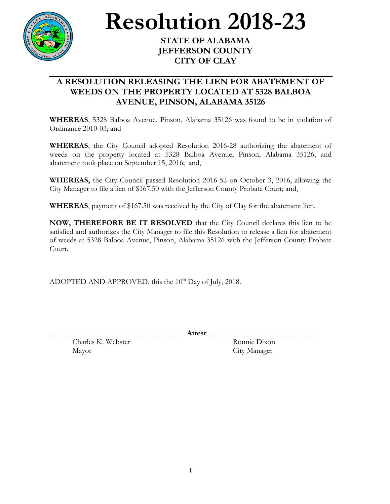

## **Resolution 2018-23**

## **STATE OF ALABAMA JEFFERSON COUNTY CITY OF CLAY**

## **A RESOLUTION RELEASING THE LIEN FOR ABATEMENT OF WEEDS ON THE PROPERTY LOCATED AT 5328 BALBOA AVENUE, PINSON, ALABAMA 35126**

**WHEREAS**, 5328 Balboa Avenue, Pinson, Alabama 35126 was found to be in violation of Ordinance 2010-03; and

**WHEREAS**, the City Council adopted Resolution 2016-28 authorizing the abatement of weeds on the property located at 5328 Balboa Avenue, Pinson, Alabama 35126, and abatement took place on September 15, 2016; and,

**WHEREAS,** the City Council passed Resolution 2016-52 on October 3, 2016, allowing the City Manager to file a lien of \$167.50 with the Jefferson County Probate Court; and,

**WHEREAS**, payment of \$167.50 was received by the City of Clay for the abatement lien.

**NOW, THEREFORE BE IT RESOLVED** that the City Council declares this lien to be satisfied and authorizes the City Manager to file this Resolution to release a lien for abatement of weeds at 5328 Balboa Avenue, Pinson, Alabama 35126 with the Jefferson County Probate Court.

ADOPTED AND APPROVED, this the  $10^{th}$  Day of July, 2018.

\_\_\_\_\_\_\_\_\_\_\_\_\_\_\_\_\_\_\_\_\_\_\_\_\_\_\_\_\_\_\_\_\_\_ **Attest**: \_\_\_\_\_\_\_\_\_\_\_\_\_\_\_\_\_\_\_\_\_\_\_\_\_\_\_\_

Charles K. Webster Ronnie Dixon Mayor City Manager